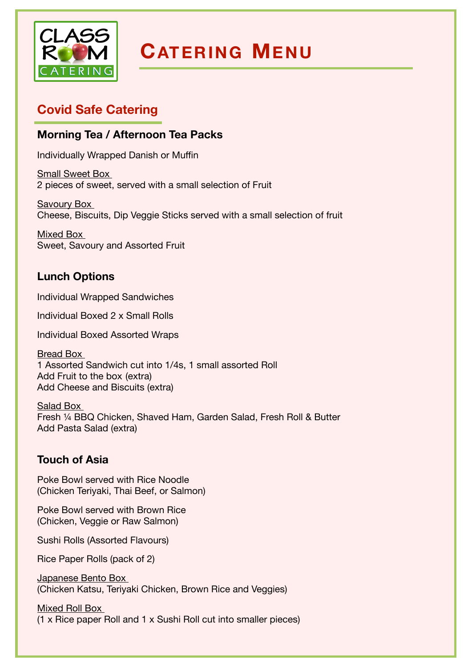

# **CATERING MENU**

# **Covid Safe Catering**

## **Morning Tea / Afternoon Tea Packs**

Individually Wrapped Danish or Muffin

Small Sweet Box 2 pieces of sweet, served with a small selection of Fruit

Savoury Box Cheese, Biscuits, Dip Veggie Sticks served with a small selection of fruit

Mixed Box Sweet, Savoury and Assorted Fruit

## **Lunch Options**

Individual Wrapped Sandwiches 

Individual Boxed 2 x Small Rolls 

Individual Boxed Assorted Wraps 

Bread Box 1 Assorted Sandwich cut into 1/4s, 1 small assorted Roll Add Fruit to the box (extra) Add Cheese and Biscuits (extra) 

Salad Box Fresh ¼ BBQ Chicken, Shaved Ham, Garden Salad, Fresh Roll & Butter Add Pasta Salad (extra) 

## **Touch of Asia**

Poke Bowl served with Rice Noodle (Chicken Teriyaki, Thai Beef, or Salmon)

Poke Bowl served with Brown Rice (Chicken, Veggie or Raw Salmon)

Sushi Rolls (Assorted Flavours) 

Rice Paper Rolls (pack of 2) 

Japanese Bento Box (Chicken Katsu, Teriyaki Chicken, Brown Rice and Veggies)

Mixed Roll Box (1 x Rice paper Roll and 1 x Sushi Roll cut into smaller pieces)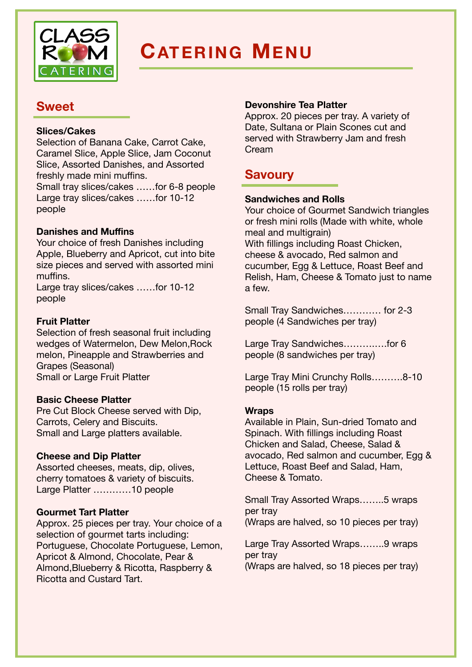

# **CATERING MENU**

# **Sweet**

### **Slices/Cakes**

Selection of Banana Cake, Carrot Cake, Caramel Slice, Apple Slice, Jam Coconut Slice, Assorted Danishes, and Assorted freshly made mini muffins. Small tray slices/cakes ……for 6-8 people Large tray slices/cakes ……for 10-12 people

## **Danishes and Muffins**

Your choice of fresh Danishes including Apple, Blueberry and Apricot, cut into bite size pieces and served with assorted mini muffins.

Large tray slices/cakes ……for 10-12 people

#### **Fruit Platter**

Selection of fresh seasonal fruit including wedges of Watermelon, Dew Melon,Rock melon, Pineapple and Strawberries and Grapes (Seasonal) Small or Large Fruit Platter

#### **Basic Cheese Platter**

Pre Cut Block Cheese served with Dip, Carrots, Celery and Biscuits. Small and Large platters available.

#### **Cheese and Dip Platter**

Assorted cheeses, meats, dip, olives, cherry tomatoes & variety of biscuits. Large Platter …………10 people

## **Gourmet Tart Platter**

Approx. 25 pieces per tray. Your choice of a selection of gourmet tarts including: Portuguese, Chocolate Portuguese, Lemon, Apricot & Almond, Chocolate, Pear & Almond,Blueberry & Ricotta, Raspberry & Ricotta and Custard Tart.

#### **Devonshire Tea Platter**

Approx. 20 pieces per tray. A variety of Date, Sultana or Plain Scones cut and served with Strawberry Jam and fresh Cream

## **Savoury**

#### **Sandwiches and Rolls**

Your choice of Gourmet Sandwich triangles or fresh mini rolls (Made with white, whole meal and multigrain) With fillings including Roast Chicken, cheese & avocado, Red salmon and cucumber, Egg & Lettuce, Roast Beef and Relish, Ham, Cheese & Tomato just to name a few.

Small Tray Sandwiches………… for 2-3 people (4 Sandwiches per tray)

Large Tray Sandwiches...............for 6 people (8 sandwiches per tray)

Large Tray Mini Crunchy Rolls……….8-10 people (15 rolls per tray)

#### **Wraps**

Available in Plain, Sun-dried Tomato and Spinach. With fillings including Roast Chicken and Salad, Cheese, Salad & avocado, Red salmon and cucumber, Egg & Lettuce, Roast Beef and Salad, Ham, Cheese & Tomato.

Small Tray Assorted Wraps……..5 wraps per tray (Wraps are halved, so 10 pieces per tray)

Large Tray Assorted Wraps……..9 wraps per tray

(Wraps are halved, so 18 pieces per tray)